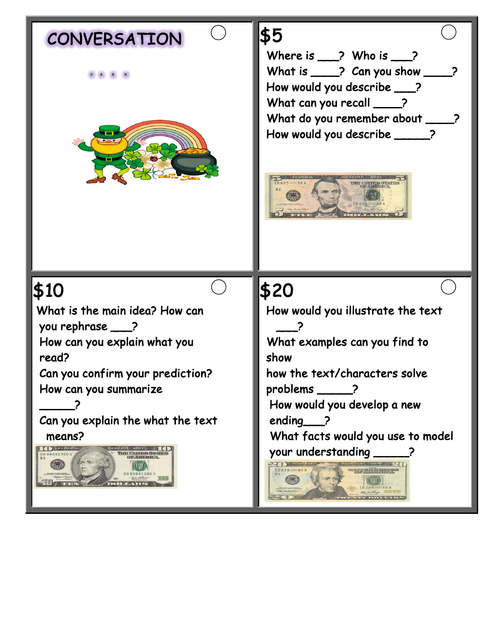